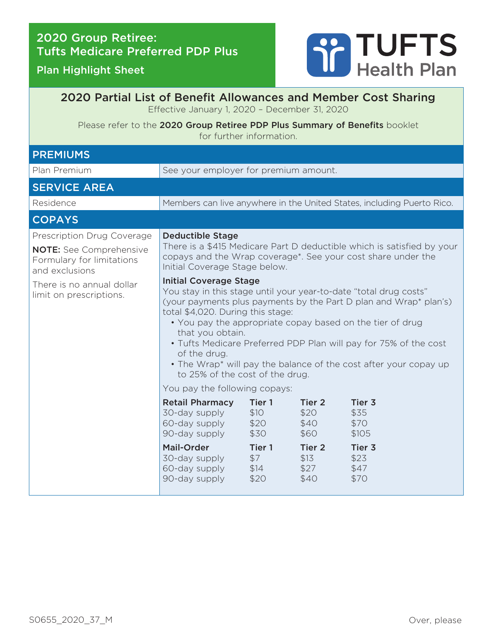Plan Highlight Sheet



## 2020 Partial List of Benefit Allowances and Member Cost Sharing Effective January 1, 2020 – December 31, 2020

Please refer to the 2020 Group Retiree PDP Plus Summary of Benefits booklet for further information.

| <b>PREMIUMS</b>                                                                                                                                                     |                                                                                                                                                                                                                                                                                                                                                                                                                                                                                                                                                                                                                                                                                                                                              |                                                                 |                                                                             |                                                                   |
|---------------------------------------------------------------------------------------------------------------------------------------------------------------------|----------------------------------------------------------------------------------------------------------------------------------------------------------------------------------------------------------------------------------------------------------------------------------------------------------------------------------------------------------------------------------------------------------------------------------------------------------------------------------------------------------------------------------------------------------------------------------------------------------------------------------------------------------------------------------------------------------------------------------------------|-----------------------------------------------------------------|-----------------------------------------------------------------------------|-------------------------------------------------------------------|
| Plan Premium                                                                                                                                                        | See your employer for premium amount.                                                                                                                                                                                                                                                                                                                                                                                                                                                                                                                                                                                                                                                                                                        |                                                                 |                                                                             |                                                                   |
| <b>SERVICE AREA</b>                                                                                                                                                 |                                                                                                                                                                                                                                                                                                                                                                                                                                                                                                                                                                                                                                                                                                                                              |                                                                 |                                                                             |                                                                   |
| Residence                                                                                                                                                           | Members can live anywhere in the United States, including Puerto Rico.                                                                                                                                                                                                                                                                                                                                                                                                                                                                                                                                                                                                                                                                       |                                                                 |                                                                             |                                                                   |
| <b>COPAYS</b>                                                                                                                                                       |                                                                                                                                                                                                                                                                                                                                                                                                                                                                                                                                                                                                                                                                                                                                              |                                                                 |                                                                             |                                                                   |
| Prescription Drug Coverage<br><b>NOTE:</b> See Comprehensive<br>Formulary for limitations<br>and exclusions<br>There is no annual dollar<br>limit on prescriptions. | <b>Deductible Stage</b><br>There is a \$415 Medicare Part D deductible which is satisfied by your<br>copays and the Wrap coverage <sup>*</sup> . See your cost share under the<br>Initial Coverage Stage below.<br><b>Initial Coverage Stage</b><br>You stay in this stage until your year-to-date "total drug costs"<br>(your payments plus payments by the Part D plan and Wrap* plan's)<br>total \$4,020. During this stage:<br>. You pay the appropriate copay based on the tier of drug<br>that you obtain.<br>• Tufts Medicare Preferred PDP Plan will pay for 75% of the cost<br>of the drug.<br>• The Wrap* will pay the balance of the cost after your copay up<br>to 25% of the cost of the drug.<br>You pay the following copays: |                                                                 |                                                                             |                                                                   |
|                                                                                                                                                                     | <b>Retail Pharmacy</b><br>30-day supply<br>60-day supply<br>90-day supply<br><b>Mail-Order</b><br>30-day supply<br>60-day supply<br>90-day supply                                                                                                                                                                                                                                                                                                                                                                                                                                                                                                                                                                                            | Tier 1<br>\$10<br>\$20<br>\$30<br>Tier 1<br>\$7<br>\$14<br>\$20 | Tier 2<br>\$20<br>\$40<br>\$60<br>Tier <sub>2</sub><br>\$13<br>\$27<br>\$40 | Tier 3<br>\$35<br>\$70<br>\$105<br>Tier 3<br>\$23<br>\$47<br>\$70 |